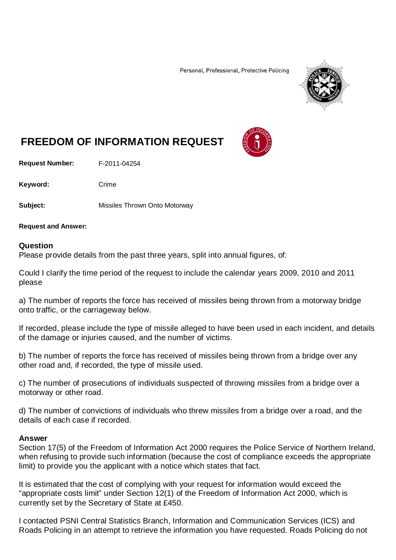Personal, Professional, Protective Policing



## **FREEDOM OF INFORMATION REQUEST**

**Request Number:** F-2011-04254

Keyword: Crime

**Subject:** Missiles Thrown Onto Motorway

**Request and Answer:**

## **Question**

Please provide details from the past three years, split into annual figures, of:

Could I clarify the time period of the request to include the calendar years 2009, 2010 and 2011 please

a) The number of reports the force has received of missiles being thrown from a motorway bridge onto traffic, or the carriageway below.

If recorded, please include the type of missile alleged to have been used in each incident, and details of the damage or injuries caused, and the number of victims.

b) The number of reports the force has received of missiles being thrown from a bridge over any other road and, if recorded, the type of missile used.

c) The number of prosecutions of individuals suspected of throwing missiles from a bridge over a motorway or other road.

d) The number of convictions of individuals who threw missiles from a bridge over a road, and the details of each case if recorded.

## **Answer**

Section 17(5) of the Freedom of Information Act 2000 requires the Police Service of Northern Ireland, when refusing to provide such information (because the cost of compliance exceeds the appropriate limit) to provide you the applicant with a notice which states that fact.

It is estimated that the cost of complying with your request for information would exceed the "appropriate costs limit" under Section 12(1) of the Freedom of Information Act 2000, which is currently set by the Secretary of State at £450.

I contacted PSNI Central Statistics Branch, Information and Communication Services (ICS) and Roads Policing in an attempt to retrieve the information you have requested. Roads Policing do not